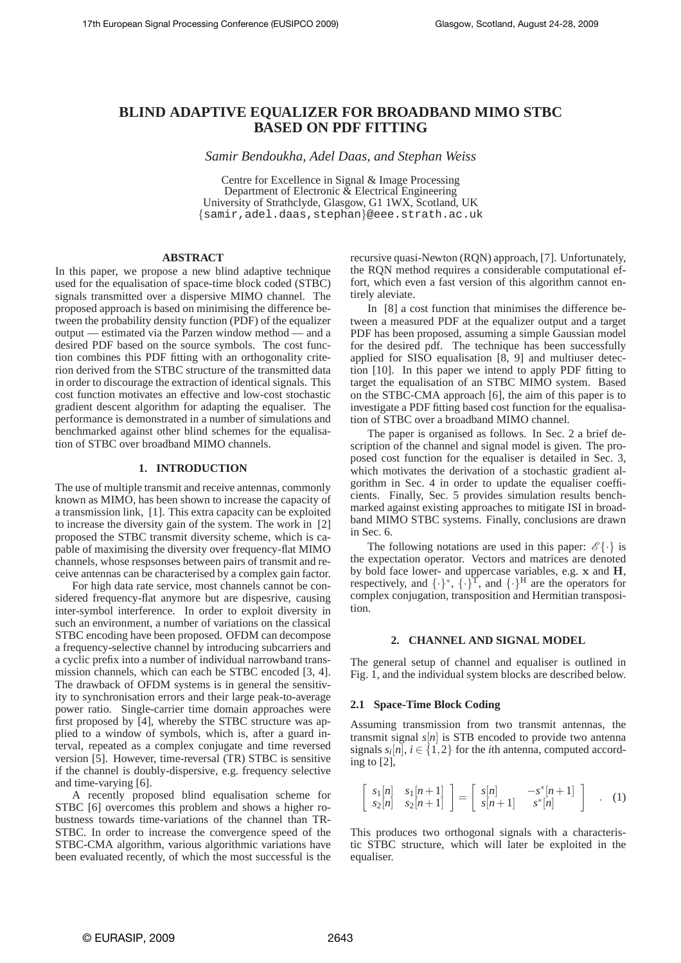# **BLIND ADAPTIVE EQUALIZER FOR BROADBAND MIMO STBC BASED ON PDF FITTING**

*Samir Bendoukha, Adel Daas, and Stephan Weiss*

Centre for Excellence in Signal & Image Processing Department of Electronic  $\tilde{\&}$  Electrical Engineering University of Strathclyde, Glasgow, G1 1WX, Scotland, UK {samir,adel.daas,stephan}@eee.strath.ac.uk

# **ABSTRACT**

In this paper, we propose a new blind adaptive technique used for the equalisation of space-time block coded (STBC) signals transmitted over a dispersive MIMO channel. The proposed approach is based on minimising the difference between the probability density function (PDF) of the equalizer output — estimated via the Parzen window method — and a desired PDF based on the source symbols. The cost function combines this PDF fitting with an orthogonality criterion derived from the STBC structure of the transmitted data in order to discourage the extraction of identical signals. This cost function motivates an effective and low-cost stochastic gradient descent algorithm for adapting the equaliser. The performance is demonstrated in a number of simulations and benchmarked against other blind schemes for the equalisation of STBC over broadband MIMO channels.

# **1. INTRODUCTION**

The use of multiple transmit and receive antennas, commonly known as MIMO, has been shown to increase the capacity of a transmission link, [1]. This extra capacity can be exploited to increase the diversity gain of the system. The work in [2] proposed the STBC transmit diversity scheme, which is capable of maximising the diversity over frequency-flat MIMO channels, whose respsonses between pairs of transmit and receive antennas can be characterised by a complex gain factor.

For high data rate service, most channels cannot be considered frequency-flat anymore but are dispesrive, causing inter-symbol interference. In order to exploit diversity in such an environment, a number of variations on the classical STBC encoding have been proposed. OFDM can decompose a frequency-selective channel by introducing subcarriers and a cyclic prefix into a number of individual narrowband transmission channels, which can each be STBC encoded [3, 4]. The drawback of OFDM systems is in general the sensitivity to synchronisation errors and their large peak-to-average power ratio. Single-carrier time domain approaches were first proposed by [4], whereby the STBC structure was applied to a window of symbols, which is, after a guard interval, repeated as a complex conjugate and time reversed version [5]. However, time-reversal (TR) STBC is sensitive if the channel is doubly-dispersive, e.g. frequency selective and time-varying [6].

A recently proposed blind equalisation scheme for STBC [6] overcomes this problem and shows a higher robustness towards time-variations of the channel than TR-STBC. In order to increase the convergence speed of the STBC-CMA algorithm, various algorithmic variations have been evaluated recently, of which the most successful is the recursive quasi-Newton (RQN) approach, [7]. Unfortunately, the RQN method requires a considerable computational effort, which even a fast version of this algorithm cannot entirely aleviate.

In [8] a cost function that minimises the difference between a measured PDF at the equalizer output and a target PDF has been proposed, assuming a simple Gaussian model for the desired pdf. The technique has been successfully applied for SISO equalisation [8, 9] and multiuser detection [10]. In this paper we intend to apply PDF fitting to target the equalisation of an STBC MIMO system. Based on the STBC-CMA approach [6], the aim of this paper is to investigate a PDF fitting based cost function for the equalisation of STBC over a broadband MIMO channel.

The paper is organised as follows. In Sec. 2 a brief description of the channel and signal model is given. The proposed cost function for the equaliser is detailed in Sec. 3, which motivates the derivation of a stochastic gradient algorithm in Sec. 4 in order to update the equaliser coefficients. Finally, Sec. 5 provides simulation results benchmarked against existing approaches to mitigate ISI in broadband MIMO STBC systems. Finally, conclusions are drawn in Sec. 6.

The following notations are used in this paper:  $\mathscr{E}\{\cdot\}$  is the expectation operator. Vectors and matrices are denoted by bold face lower- and uppercase variables, e.g.  $x$  and  $H$ , respectively, and  $\{\cdot\}^{\star}$ ,  $\{\cdot\}^{\text{T}}$ , and  $\{\cdot\}^{\text{H}}$  are the operators for complex conjugation, transposition and Hermitian transposition.

### **2. CHANNEL AND SIGNAL MODEL**

The general setup of channel and equaliser is outlined in Fig. 1, and the individual system blocks are described below.

### **2.1 Space-Time Block Coding**

Assuming transmission from two transmit antennas, the transmit signal  $s[n]$  is STB encoded to provide two antenna signals  $s_i[n]$ ,  $i \in \{1,2\}$  for the *i*th antenna, computed according to [2],

$$
\begin{bmatrix} s_1[n] & s_1[n+1] \\ s_2[n] & s_2[n+1] \end{bmatrix} = \begin{bmatrix} s[n] & -s^*[n+1] \\ s[n+1] & s^*[n] \end{bmatrix} . (1)
$$

This produces two orthogonal signals with a characteristic STBC structure, which will later be exploited in the equaliser.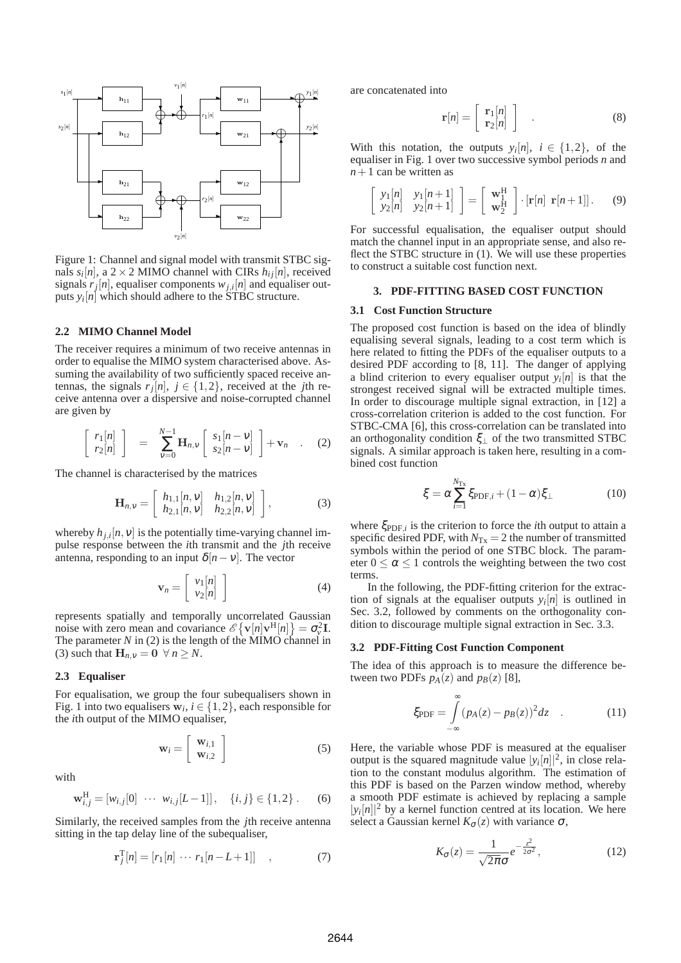

Figure 1: Channel and signal model with transmit STBC signals  $s_i[n]$ , a 2 × 2 MIMO channel with CIRs  $h_{ij}[n]$ , received signals  $r_j[n]$ , equaliser components  $w_{j,i}[n]$  and equaliser outputs  $y_i[n]$  which should adhere to the STBC structure.

### **2.2 MIMO Channel Model**

The receiver requires a minimum of two receive antennas in order to equalise the MIMO system characterised above. Assuming the availability of two sufficiently spaced receive antennas, the signals  $r_j[n]$ ,  $j \in \{1, 2\}$ , received at the *j*th receive antenna over a dispersive and noise-corrupted channel are given by

$$
\begin{bmatrix} r_1[n] \\ r_2[n] \end{bmatrix} = \sum_{v=0}^{N-1} \mathbf{H}_{n,v} \begin{bmatrix} s_1[n-v] \\ s_2[n-v] \end{bmatrix} + \mathbf{v}_n \quad . \quad (2)
$$

The channel is characterised by the matrices

$$
\mathbf{H}_{n,v} = \left[ \begin{array}{cc} h_{1,1}[n, v] & h_{1,2}[n, v] \\ h_{2,1}[n, v] & h_{2,2}[n, v] \end{array} \right],
$$
 (3)

whereby  $h_{j,i}[n, v]$  is the potentially time-varying channel impulse response between the *i*th transmit and the *j*th receive antenna, responding to an input  $\delta[n-v]$ . The vector

$$
\mathbf{v}_n = \left[ \begin{array}{c} v_1[n] \\ v_2[n] \end{array} \right] \tag{4}
$$

represents spatially and temporally uncorrelated Gaussian noise with zero mean and covariance  $\mathscr{E}\{\mathbf{v}[n]\mathbf{v}^{\mathrm{H}}[n]\} = \sigma_v^2 \mathbf{I}$ . The parameter *N* in (2) is the length of the MIMO channel in (3) such that  $\mathbf{H}_{n,v} = \mathbf{0} \ \forall n \geq N$ .

### **2.3 Equaliser**

For equalisation, we group the four subequalisers shown in Fig. 1 into two equalisers  $\mathbf{w}_i$ ,  $i \in \{1,2\}$ , each responsible for the *i*th output of the MIMO equaliser,

$$
\mathbf{w}_{i} = \left[ \begin{array}{c} \mathbf{w}_{i,1} \\ \mathbf{w}_{i,2} \end{array} \right] \tag{5}
$$

with

$$
\mathbf{w}_{i,j}^{\mathrm{H}} = [w_{i,j}[0] \cdots w_{i,j}[L-1]], \quad \{i,j\} \in \{1,2\} \, . \tag{6}
$$

Similarly, the received samples from the *j*th receive antenna sitting in the tap delay line of the subequaliser,

$$
\mathbf{r}_{j}^{\mathrm{T}}[n] = [r_{1}[n] \cdots r_{1}[n-L+1]] \quad , \tag{7}
$$

are concatenated into

$$
\mathbf{r}[n] = \left[ \begin{array}{c} \mathbf{r}_1[n] \\ \mathbf{r}_2[n] \end{array} \right] \quad . \tag{8}
$$

With this notation, the outputs  $y_i[n]$ ,  $i \in \{1,2\}$ , of the equaliser in Fig. 1 over two successive symbol periods *n* and  $n+1$  can be written as

$$
\begin{bmatrix} y_1[n] & y_1[n+1] \\ y_2[n] & y_2[n+1] \end{bmatrix} = \begin{bmatrix} \mathbf{w}_1^{\mathrm{H}} \\ \mathbf{w}_2^{\mathrm{H}} \end{bmatrix} \cdot [\mathbf{r}[n] \; \mathbf{r}[n+1]]. \tag{9}
$$

For successful equalisation, the equaliser output should match the channel input in an appropriate sense, and also reflect the STBC structure in (1). We will use these properties to construct a suitable cost function next.

### **3. PDF-FITTING BASED COST FUNCTION**

### **3.1 Cost Function Structure**

The proposed cost function is based on the idea of blindly equalising several signals, leading to a cost term which is here related to fitting the PDFs of the equaliser outputs to a desired PDF according to [8, 11]. The danger of applying a blind criterion to every equaliser output  $y_i[n]$  is that the strongest received signal will be extracted multiple times. In order to discourage multiple signal extraction, in [12] a cross-correlation criterion is added to the cost function. For STBC-CMA [6], this cross-correlation can be translated into an orthogonality condition  $\xi_{\perp}$  of the two transmitted STBC signals. A similar approach is taken here, resulting in a combined cost function

$$
\xi = \alpha \sum_{i=1}^{N_{\text{Tx}}} \xi_{\text{PDF},i} + (1 - \alpha) \xi_{\perp} \tag{10}
$$

where  $\xi_{\text{PDF},i}$  is the criterion to force the *i*th output to attain a specific desired PDF, with  $N_{Tx} = 2$  the number of transmitted symbols within the period of one STBC block. The parameter  $0 \le \alpha \le 1$  controls the weighting between the two cost terms.

In the following, the PDF-fitting criterion for the extraction of signals at the equaliser outputs  $y_i[n]$  is outlined in Sec. 3.2, followed by comments on the orthogonality condition to discourage multiple signal extraction in Sec. 3.3.

### **3.2 PDF-Fitting Cost Function Component**

The idea of this approach is to measure the difference between two PDFs  $p_A(z)$  and  $p_B(z)$  [8],

$$
\xi_{\text{PDF}} = \int_{-\infty}^{\infty} (p_A(z) - p_B(z))^2 dz \quad . \tag{11}
$$

Here, the variable whose PDF is measured at the equaliser output is the squared magnitude value  $|y_i[n]|^2$ , in close relation to the constant modulus algorithm. The estimation of this PDF is based on the Parzen window method, whereby a smooth PDF estimate is achieved by replacing a sample  $|y_i[n]|^2$  by a kernel function centred at its location. We here select a Gaussian kernel  $K_{\sigma}(z)$  with variance  $\sigma$ ,

$$
K_{\sigma}(z) = \frac{1}{\sqrt{2\pi}\sigma} e^{-\frac{z^2}{2\sigma^2}},\tag{12}
$$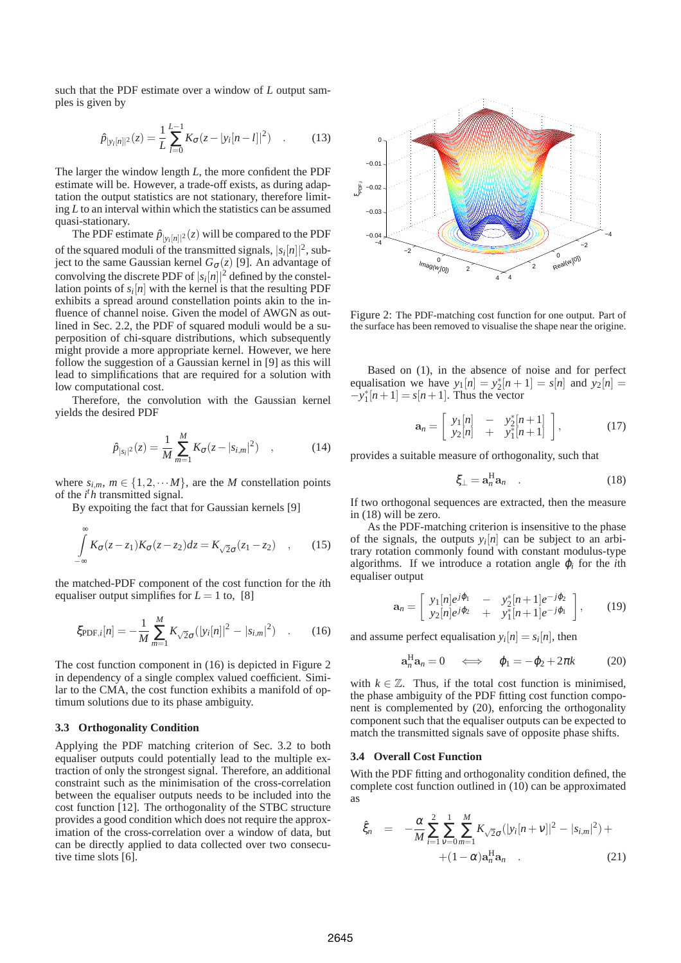such that the PDF estimate over a window of *L* output samples is given by

$$
\hat{p}_{|y_i[n]|^2}(z) = \frac{1}{L} \sum_{l=0}^{L-1} K_{\sigma}(z - |y_i[n-l]|^2) \quad . \tag{13}
$$

The larger the window length *L*, the more confident the PDF estimate will be. However, a trade-off exists, as during adaptation the output statistics are not stationary, therefore limiting *L* to an interval within which the statistics can be assumed quasi-stationary.

The PDF estimate  $\hat{p}_{|y_i[n]|^2}(z)$  will be compared to the PDF of the squared moduli of the transmitted signals,  $|s_i[n]|^2$ , subject to the same Gaussian kernel *G*σ(*z*) [9]. An advantage of convolving the discrete PDF of  $|s_i[n]|^2$  defined by the constellation points of  $s_i[n]$  with the kernel is that the resulting PDF exhibits a spread around constellation points akin to the influence of channel noise. Given the model of AWGN as outlined in Sec. 2.2, the PDF of squared moduli would be a superposition of chi-square distributions, which subsequently might provide a more appropriate kernel. However, we here follow the suggestion of a Gaussian kernel in [9] as this will lead to simplifications that are required for a solution with low computational cost.

Therefore, the convolution with the Gaussian kernel yields the desired PDF

$$
\hat{p}_{|s_i|^2}(z) = \frac{1}{M} \sum_{m=1}^{M} K_{\sigma}(z - |s_{i,m}|^2) \quad , \tag{14}
$$

where  $s_{i,m}$ ,  $m \in \{1, 2, \cdots M\}$ , are the *M* constellation points of the *i <sup>t</sup>h* transmitted signal.

By expoiting the fact that for Gaussian kernels [9]

$$
\int_{-\infty}^{\infty} K_{\sigma}(z-z_1) K_{\sigma}(z-z_2) dz = K_{\sqrt{2}\sigma}(z_1 - z_2) , \qquad (15)
$$

the matched-PDF component of the cost function for the *i*th equaliser output simplifies for  $L = 1$  to, [8]

$$
\xi_{\text{PDF},i}[n] = -\frac{1}{M} \sum_{m=1}^{M} K_{\sqrt{2}\sigma}(|y_i[n]|^2 - |s_{i,m}|^2) \quad . \tag{16}
$$

The cost function component in (16) is depicted in Figure 2 in dependency of a single complex valued coefficient. Similar to the CMA, the cost function exhibits a manifold of optimum solutions due to its phase ambiguity.

#### **3.3 Orthogonality Condition**

Applying the PDF matching criterion of Sec. 3.2 to both equaliser outputs could potentially lead to the multiple extraction of only the strongest signal. Therefore, an additional constraint such as the minimisation of the cross-correlation between the equaliser outputs needs to be included into the cost function [12]. The orthogonality of the STBC structure provides a good condition which does not require the approximation of the cross-correlation over a window of data, but can be directly applied to data collected over two consecutive time slots [6].



Figure 2: The PDF-matching cost function for one output. Part of the surface has been removed to visualise the shape near the origine.

Based on (1), in the absence of noise and for perfect equalisation we have  $y_1[n] = y_2^*[n+1] = s[n]$  and  $y_2[n] =$  $-y_1^*[n+1] = s[n+1]$ . Thus the vector

$$
\mathbf{a}_n = \left[ \begin{array}{cc} y_1[n] & - & y_2^*[n+1] \\ y_2[n] & + & y_1^*[n+1] \end{array} \right],\tag{17}
$$

provides a suitable measure of orthogonality, such that

$$
\xi_{\perp} = \mathbf{a}_n^{\mathrm{H}} \mathbf{a}_n \quad . \tag{18}
$$

If two orthogonal sequences are extracted, then the measure in (18) will be zero.

As the PDF-matching criterion is insensitive to the phase of the signals, the outputs  $y_i[n]$  can be subject to an arbitrary rotation commonly found with constant modulus-type algorithms. If we introduce a rotation angle  $\varphi_i$  for the *i*th equaliser output

$$
\mathbf{a}_n = \left[ \begin{array}{ccc} y_1[n]e^{j\varphi_1} & - & y_2^*[n+1]e^{-j\varphi_2} \\ y_2[n]e^{j\varphi_2} & + & y_1^*[n+1]e^{-j\varphi_1} \end{array} \right],\qquad(19)
$$

and assume perfect equalisation  $y_i[n] = s_i[n]$ , then

$$
\mathbf{a}_n^{\mathrm{H}} \mathbf{a}_n = 0 \quad \Longleftrightarrow \quad \varphi_1 = -\varphi_2 + 2\pi k \tag{20}
$$

with  $k \in \mathbb{Z}$ . Thus, if the total cost function is minimised. the phase ambiguity of the PDF fitting cost function component is complemented by (20), enforcing the orthogonality component such that the equaliser outputs can be expected to match the transmitted signals save of opposite phase shifts.

### **3.4 Overall Cost Function**

With the PDF fitting and orthogonality condition defined, the complete cost function outlined in (10) can be approximated as

$$
\hat{\xi}_n = -\frac{\alpha}{M} \sum_{i=1}^2 \sum_{\nu=0}^M \sum_{m=1}^M K_{\sqrt{2}\sigma} (|y_i[n+\nu]|^2 - |s_{i,m}|^2) +
$$
  
+(1-\alpha) a\_n^{\text{H}} a\_n . (21)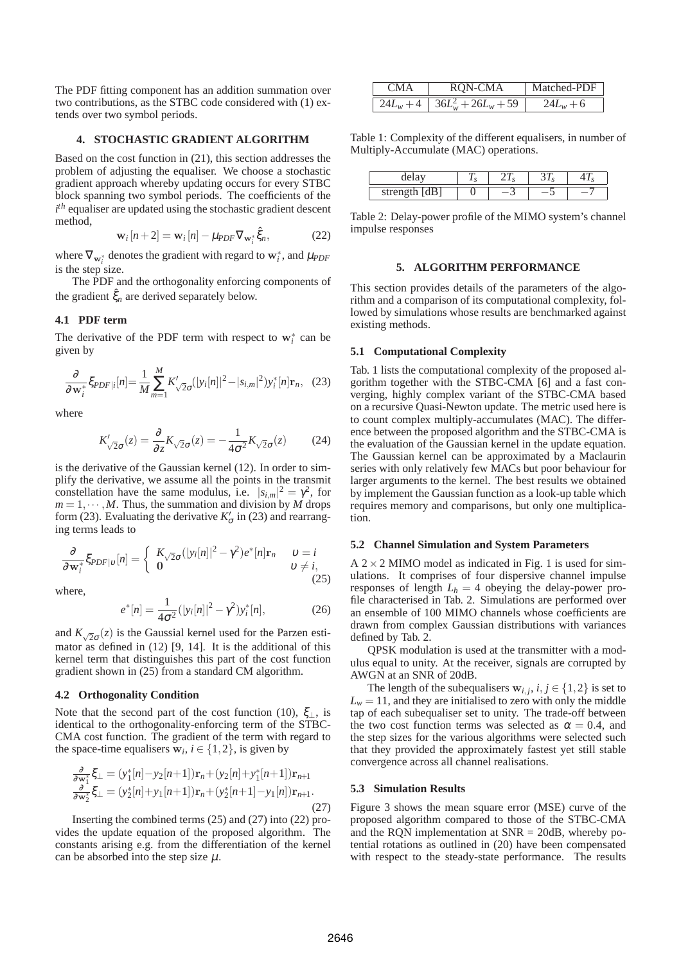The PDF fitting component has an addition summation over two contributions, as the STBC code considered with (1) extends over two symbol periods.

### **4. STOCHASTIC GRADIENT ALGORITHM**

Based on the cost function in (21), this section addresses the problem of adjusting the equaliser. We choose a stochastic gradient approach whereby updating occurs for every STBC block spanning two symbol periods. The coefficients of the *i th* equaliser are updated using the stochastic gradient descent method,

$$
\mathbf{w}_i[n+2] = \mathbf{w}_i[n] - \mu_{PDF} \nabla_{\mathbf{w}_i^*} \hat{\xi}_n, \tag{22}
$$

where  $\nabla_{\mathbf{w}_i^*}$  denotes the gradient with regard to  $\mathbf{w}_i^*$ , and  $\mu_{PDF}$ is the step size.

The PDF and the orthogonality enforcing components of the gradient  $\hat{\xi}_n$  are derived separately below.

# **4.1 PDF term**

The derivative of the PDF term with respect to  $w_i^*$  can be given by

$$
\frac{\partial}{\partial \mathbf{w}_i^*} \xi_{PDF|i}[n] = \frac{1}{M} \sum_{m=1}^{M} K'_{\sqrt{2}\sigma}(|y_i[n]|^2 - |s_{i,m}|^2) y_i^*[n] \mathbf{r}_n, \quad (23)
$$

where

$$
K'_{\sqrt{2}\sigma}(z) = \frac{\partial}{\partial z} K_{\sqrt{2}\sigma}(z) = -\frac{1}{4\sigma^2} K_{\sqrt{2}\sigma}(z) \tag{24}
$$

is the derivative of the Gaussian kernel (12). In order to simplify the derivative, we assume all the points in the transmit constellation have the same modulus, i.e.  $|s_{i,m}|^2 = \gamma^2$ , for  $m = 1, \dots, M$ . Thus, the summation and division by *M* drops form (23). Evaluating the derivative  $K'_{\sigma}$  in (23) and rearranging terms leads to

$$
\frac{\partial}{\partial \mathbf{w}_i^*} \xi_{PDF|v}[n] = \begin{cases} K_{\sqrt{2}\sigma}(|y_i[n]|^2 - \gamma^2) e^*[n] \mathbf{r}_n & v = i\\ 0 & v \neq i, \end{cases}
$$
(25)

where,

$$
e^*[n] = \frac{1}{4\sigma^2} (|y_i[n]|^2 - \gamma^2) y_i^*[n], \qquad (26)
$$

and  $K_{\sqrt{2}\sigma}(z)$  is the Gaussial kernel used for the Parzen estimator as defined in  $(12)$  [9, 14]. It is the additional of this kernel term that distinguishes this part of the cost function gradient shown in (25) from a standard CM algorithm.

### **4.2 Orthogonality Condition**

Note that the second part of the cost function (10),  $\xi_1$ , is identical to the orthogonality-enforcing term of the STBC-CMA cost function. The gradient of the term with regard to the space-time equalisers  $\mathbf{w}_i$ ,  $i \in \{1, 2\}$ , is given by

$$
\frac{\partial}{\partial \mathbf{w}_1^*} \xi_{\perp} = (y_1^*[n] - y_2[n+1]) \mathbf{r}_n + (y_2[n] + y_1^*[n+1]) \mathbf{r}_{n+1} \n\frac{\partial}{\partial \mathbf{w}_2^*} \xi_{\perp} = (y_2^*[n] + y_1[n+1]) \mathbf{r}_n + (y_2^*[n+1] - y_1[n]) \mathbf{r}_{n+1}.
$$
\n(27)

Inserting the combined terms (25) and (27) into (22) provides the update equation of the proposed algorithm. The constants arising e.g. from the differentiation of the kernel can be absorbed into the step size  $\mu$ .

| <b>CMA</b> | RON-CMA                                    | Matched-PDF |  |
|------------|--------------------------------------------|-------------|--|
|            | $\sqrt{24L_w+4}$ $\sqrt{36L_w^2+26L_w+59}$ | $24L_w + 6$ |  |

Table 1: Complexity of the different equalisers, in number of Multiply-Accumulate (MAC) operations.

|                          | $\sim$<br>, , | $\overline{\phantom{a}}$ | $\overline{\phantom{a}}$ |  |
|--------------------------|---------------|--------------------------|--------------------------|--|
| strength<br>,ա լսມյ<br>- | ັ             |                          |                          |  |

Table 2: Delay-power profile of the MIMO system's channel impulse responses

### **5. ALGORITHM PERFORMANCE**

This section provides details of the parameters of the algorithm and a comparison of its computational complexity, followed by simulations whose results are benchmarked against existing methods.

#### **5.1 Computational Complexity**

Tab. 1 lists the computational complexity of the proposed algorithm together with the STBC-CMA [6] and a fast converging, highly complex variant of the STBC-CMA based on a recursive Quasi-Newton update. The metric used here is to count complex multiply-accumulates (MAC). The difference between the proposed algorithm and the STBC-CMA is the evaluation of the Gaussian kernel in the update equation. The Gaussian kernel can be approximated by a Maclaurin series with only relatively few MACs but poor behaviour for larger arguments to the kernel. The best results we obtained by implement the Gaussian function as a look-up table which requires memory and comparisons, but only one multiplication.

### **5.2 Channel Simulation and System Parameters**

 $A$  2  $\times$  2 MIMO model as indicated in Fig. 1 is used for simulations. It comprises of four dispersive channel impulse responses of length  $L_h = 4$  obeying the delay-power profile characterised in Tab. 2. Simulations are performed over an ensemble of 100 MIMO channels whose coefficients are drawn from complex Gaussian distributions with variances defined by Tab. 2.

QPSK modulation is used at the transmitter with a modulus equal to unity. At the receiver, signals are corrupted by AWGN at an SNR of 20dB.

The length of the subequalisers  $\mathbf{w}_{i,j}$ ,  $i, j \in \{1, 2\}$  is set to  $L<sub>w</sub> = 11$ , and they are initialised to zero with only the middle tap of each subequaliser set to unity. The trade-off between the two cost function terms was selected as  $\alpha = 0.4$ , and the step sizes for the various algorithms were selected such that they provided the approximately fastest yet still stable convergence across all channel realisations.

#### **5.3 Simulation Results**

Figure 3 shows the mean square error (MSE) curve of the proposed algorithm compared to those of the STBC-CMA and the RQN implementation at SNR = 20dB, whereby potential rotations as outlined in (20) have been compensated with respect to the steady-state performance. The results